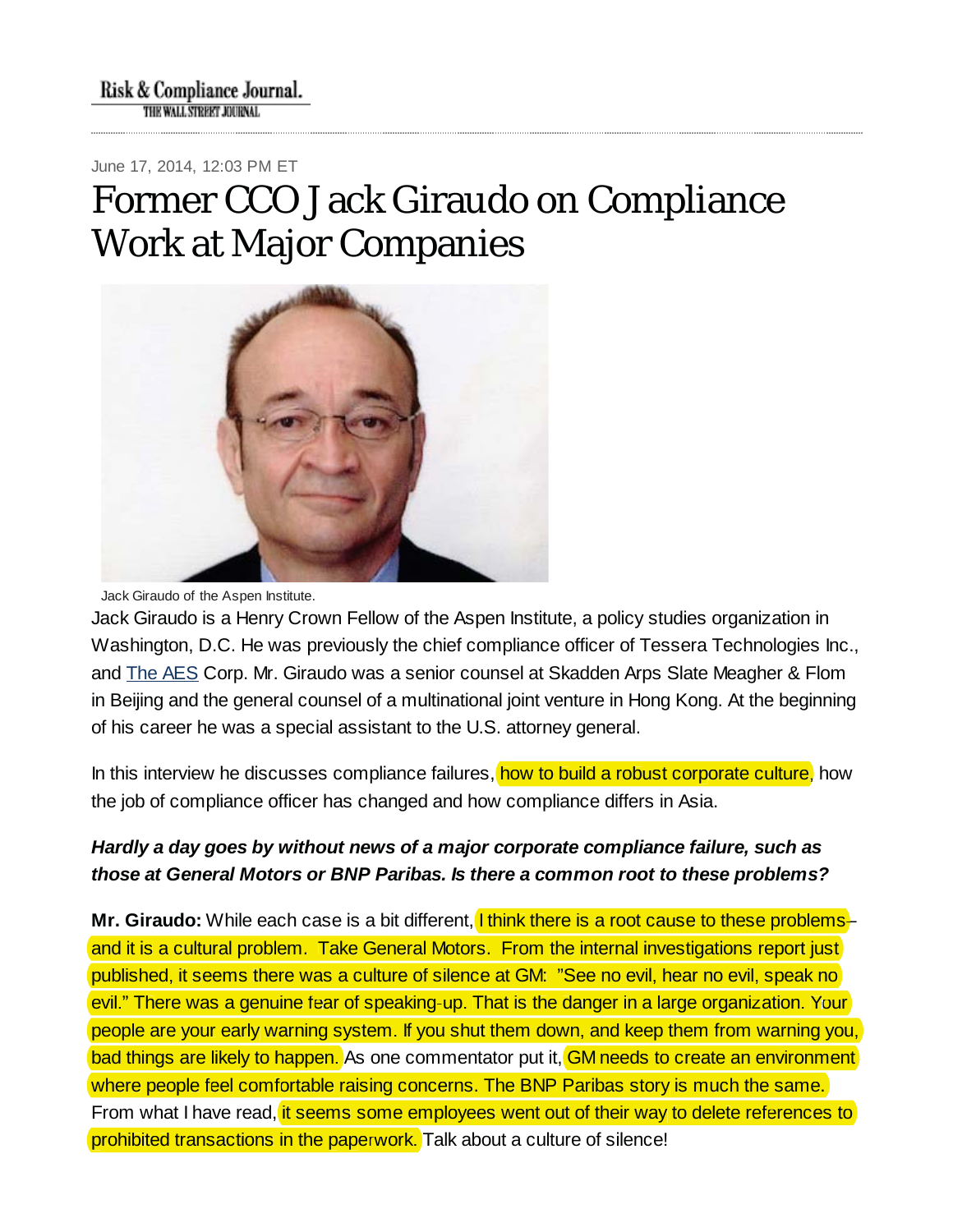June 17, 2014, 12:03 PM ET

# Former CCO Jack Giraudo on Compliance Work at Major Companies



Jack Giraudo of the Aspen Institute.

Jack Giraudo is a Henry Crown Fellow of the Aspen Institute, a policy studies organization in Washington, D.C. He was previously the chief compliance officer of Tessera Technologies Inc., and The AES Corp. Mr. Giraudo was a senior counsel at Skadden Arps Slate Meagher & Flom in Beijing and the general counsel of a multinational joint venture in Hong Kong. At the beginning of his career he was a special assistant to the U.S. attorney general.

In this interview he discusses compliance failures, <mark>how to build a robust corporate culture,</mark> how the job of compliance officer has changed and how compliance differs in Asia.

## *Hardly a day goes by without news of a major corporate compliance failure, such as those at General Motors or BNP Paribas. Is there a common root to these problems?*

**Mr. Giraudo:** While each case is a bit different, I think there is a root cause to these problemsand it is a cultural problem. Take General Motors. From the internal investigations report just published, it seems there was a culture of silence at GM: "See no evil, hear no evil, speak no published, it seems there was a culture of silence at GM: "See no evil, hear no evil, speak evil." There was a genuine fear of speaking-up. That is the danger in a large organization. Your people are your early warning system. If you shut them down, and keep them from warning you, people are your early warning system. If you shut them down, and keep them from warning bad things are likely to happen. As one commentator put it, GM needs to create an environment <mark>where people feel comfortable raising concerns. The BNP Paribas story is much the same.</mark><br>From what I have read, <mark>it seems some employees went out of their way to delete references</mark> From what I have read, it seems some employees went out of their way to delete references to prohibited transactions in the paperwork. Talk about a culture of silence!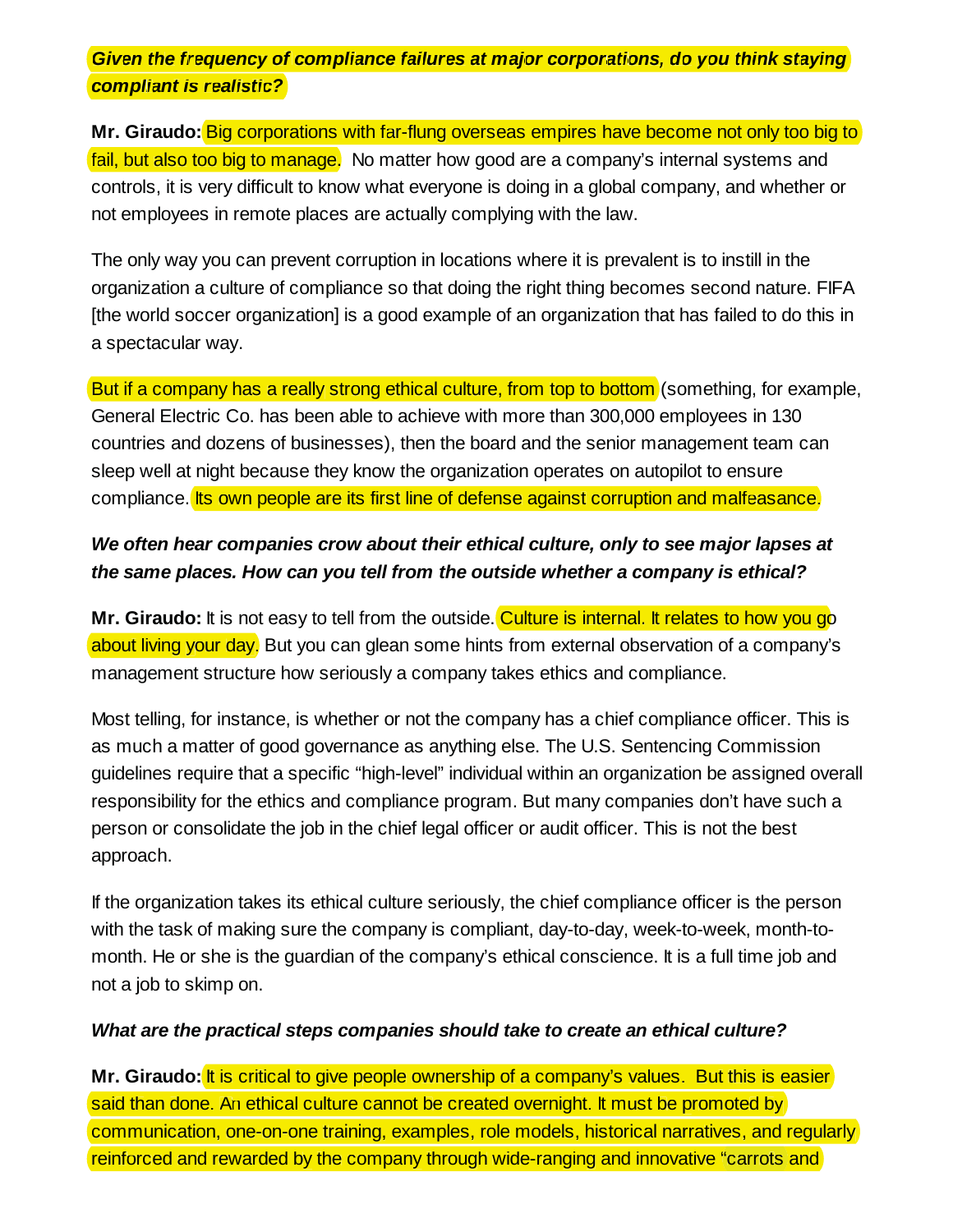Given the frequency of compliance failures at major corporations, do you think staying *compliant is realistic? compliant is*

Mr. Giraudo: Big corporations with far-flung overseas empires have become not only too big to fail, but also too big to manage. No matter how good are a company's internal systems and controls, it is very difficult to know what everyone is doing in a global company, and whether or not employees in remote places are actually complying with the law.

The only way you can prevent corruption in locations where it is prevalent is to instill in the organization a culture of compliance so that doing the right thing becomes second nature. FIFA [the world soccer organization] is a good example of an organization that has failed to do this in a spectacular way.

But if a company has a really strong ethical culture, from top to bottom (something, for example, General Electric Co. has been able to achieve with more than 300,000 employees in 130 countries and dozens of businesses), then the board and the senior management team can sleep well at night because they know the organization operates on autopilot to ensure compliance. Its own people are its first line of defense against corruption and malfeasance.

# *We often hear companies crow about their ethical culture, only to see major lapses at the same places. How can you tell from the outside whether a company is ethical?*

**Mr. Giraudo:** It is not easy to tell from the outside. <mark>Culture is internal. It relates to how you g</mark>o about living your day. But you can glean some hints from external observation of a company's management structure how seriously a company takes ethics and compliance.

Most telling, for instance, is whether or not the company has a chief compliance officer. This is as much a matter of good governance as anything else. The U.S. Sentencing Commission guidelines require that a specific "high-level" individual within an organization be assigned overall responsibility for the ethics and compliance program. But many companies don't have such a person or consolidate the job in the chief legal officer or audit officer. This is not the best approach.

If the organization takes its ethical culture seriously, the chief compliance officer is the person with the task of making sure the company is compliant, day-to-day, week-to-week, month-tomonth. He or she is the guardian of the company's ethical conscience. It is a full time job and not a job to skimp on.

#### *What are the practical steps companies should take to create an ethical culture?*

**Mr. Giraudo: <mark>It is critical to give people ownership of a company's values. But this is easier**</mark> said than done. An ethical culture cannot be created overnight. It must be promoted by communication, one-on-one training, examples, role models, historical narratives, and regularly<br>reinforced and rewarded by the company through wide-ranging and innovative "carrots and reinforced and rewarded by the company through wide-ranging and innovative "carrots and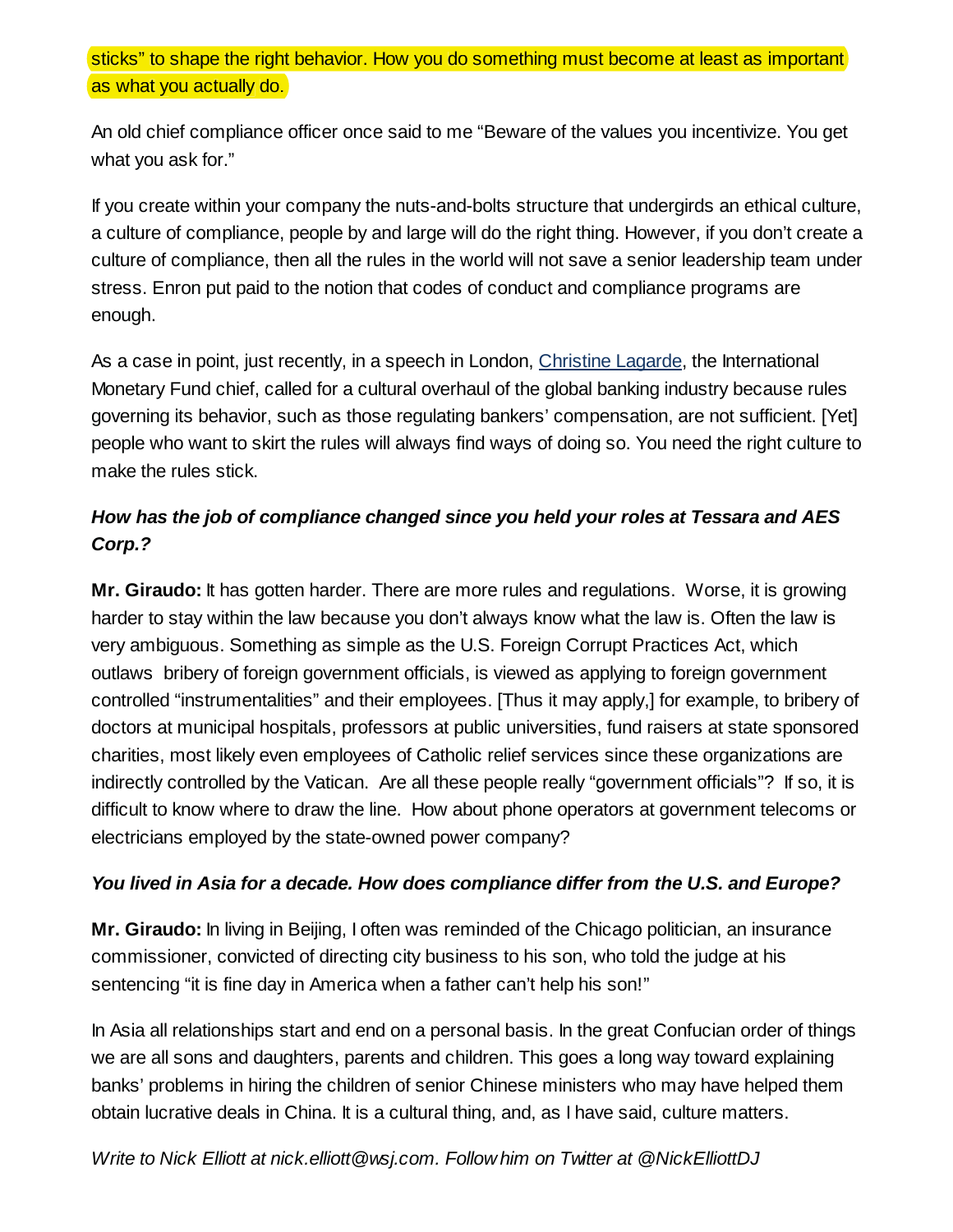sticks" to shape the right behavior. How you do something must become at least as important as what you actually do. as what you actually

An old chief compliance officer once said to me "Beware of the values you incentivize. You get what you ask for."

If you create within your company the nuts-and-bolts structure that undergirds an ethical culture, a culture of compliance, people by and large will do the right thing. However, if you don't create a culture of compliance, then all the rules in the world will not save a senior leadership team under stress. Enron put paid to the notion that codes of conduct and compliance programs are enough.

As a case in point, just recently, in a speech in London, Christine Lagarde, the International Monetary Fund chief, called for a cultural overhaul of the global banking industry because rules governing its behavior, such as those regulating bankers' compensation, are not sufficient. [Yet] people who want to skirt the rules will always find ways of doing so. You need the right culture to make the rules stick.

# *How has the job of compliance changed since you held your roles at Tessara and AES Corp.?*

**Mr. Giraudo:** It has gotten harder. There are more rules and regulations. Worse, it is growing harder to stay within the law because you don't always know what the law is. Often the law is very ambiguous. Something as simple as the U.S. Foreign Corrupt Practices Act, which outlaws bribery of foreign government officials, is viewed as applying to foreign government controlled "instrumentalities" and their employees. [Thus it may apply,] for example, to bribery of doctors at municipal hospitals, professors at public universities, fund raisers at state sponsored charities, most likely even employees of Catholic relief services since these organizations are indirectly controlled by the Vatican. Are all these people really "government officials"? If so, it is difficult to know where to draw the line. How about phone operators at government telecoms or electricians employed by the state-owned power company?

### *You lived in Asia for a decade. How does compliance differ from the U.S. and Europe?*

**Mr. Giraudo:** In living in Beijing, I often was reminded of the Chicago politician, an insurance commissioner, convicted of directing city business to his son, who told the judge at his sentencing "it is fine day in America when a father can't help his son!"

In Asia all relationships start and end on a personal basis. In the great Confucian order of things we are all sons and daughters, parents and children. This goes a long way toward explaining banks' problems in hiring the children of senior Chinese ministers who may have helped them obtain lucrative deals in China. It is a cultural thing, and, as I have said, culture matters.

## *Write to Nick Elliott at nick.elliott@wsj.com. Follow him on Twitter at @NickElliottDJ*